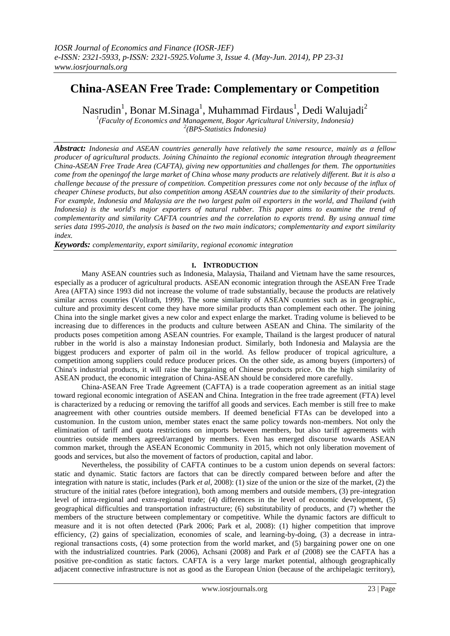# **China-ASEAN Free Trade: Complementary or Competition**

Nasrudin<sup>1</sup>, Bonar M.Sinaga<sup>1</sup>, Muhammad Firdaus<sup>1</sup>, Dedi Walujadi<sup>2</sup>

*1 (Faculty of Economics and Management, Bogor Agricultural University, Indonesia) 2 (BPS-Statistics Indonesia)*

*Abstract: Indonesia and ASEAN countries generally have relatively the same resource, mainly as a fellow producer of agricultural products. Joining Chinainto the regional economic integration through theagreement China-ASEAN Free Trade Area (CAFTA), giving new opportunities and challenges for them. The opportunities come from the openingof the large market of China whose many products are relatively different. But it is also a challenge because of the pressure of competition. Competition pressures come not only because of the influx of cheaper Chinese products, but also competition among ASEAN countries due to the similarity of their products. For example, Indonesia and Malaysia are the two largest palm oil exporters in the world, and Thailand (with Indonesia) is the world's major exporters of natural rubber. This paper aims to examine the trend of complementarity and similarity CAFTA countries and the correlation to exports trend. By using annual time series data 1995-2010, the analysis is based on the two main indicators; complementarity and export similarity index.*

*Keywords: complementarity, export similarity, regional economic integration*

# **I. INTRODUCTION**

Many ASEAN countries such as Indonesia, Malaysia, Thailand and Vietnam have the same resources, especially as a producer of agricultural products. ASEAN economic integration through the ASEAN Free Trade Area (AFTA) since 1993 did not increase the volume of trade substantially, because the products are relatively similar across countries (Vollrath, 1999). The some similarity of ASEAN countries such as in geographic, culture and proximity descent come they have more similar products than complement each other. The joining China into the single market gives a new color and expect enlarge the market. Trading volume is believed to be increasing due to differences in the products and culture between ASEAN and China. The similarity of the products poses competition among ASEAN countries. For example, Thailand is the largest producer of natural rubber in the world is also a mainstay Indonesian product. Similarly, both Indonesia and Malaysia are the biggest producers and exporter of palm oil in the world. As fellow producer of tropical agriculture, a competition among suppliers could reduce producer prices. On the other side, as among buyers (importers) of China's industrial products, it will raise the bargaining of Chinese products price. On the high similarity of ASEAN product, the economic integration of China-ASEAN should be considered more carefully.

China-ASEAN Free Trade Agreement (CAFTA) is a trade cooperation agreement as an initial stage toward regional economic integration of ASEAN and China. Integration in the free trade agreement (FTA) level is characterized by a reducing or removing the tariffof all goods and services. Each member is still free to make anagreement with other countries outside members. If deemed beneficial FTAs can be developed into a customunion. In the custom union, member states enact the same policy towards non-members. Not only the elimination of tariff and quota restrictions on imports between members, but also tariff agreements with countries outside members agreed/arranged by members. Even has emerged discourse towards ASEAN common market, through the ASEAN Economic Community in 2015, which not only liberation movement of goods and services, but also the movement of factors of production, capital and labor.

Nevertheless, the possibility of CAFTA continues to be a custom union depends on several factors: static and dynamic. Static factors are factors that can be directly compared between before and after the integration with nature is static, includes (Park *et al*, 2008): (1) size of the union or the size of the market, (2) the structure of the initial rates (before integration), both among members and outside members, (3) pre-integration level of intra-regional and extra-regional trade; (4) differences in the level of economic development, (5) geographical difficulties and transportation infrastructure; (6) substitutability of products, and (7) whether the members of the structure between complementary or competitive. While the dynamic factors are difficult to measure and it is not often detected (Park 2006; Park et al, 2008): (1) higher competition that improve efficiency, (2) gains of specialization, economies of scale, and learning-by-doing, (3) a decrease in intraregional transactions costs, (4) some protection from the world market, and (5) bargaining power one on one with the industrialized countries. Park (2006), Achsani (2008) and Park *et al* (2008) see the CAFTA has a positive pre-condition as static factors. CAFTA is a very large market potential, although geographically adjacent connective infrastructure is not as good as the European Union (because of the archipelagic territory),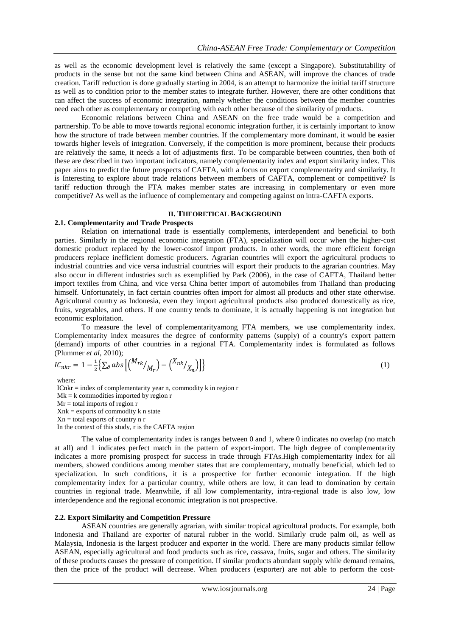as well as the economic development level is relatively the same (except a Singapore). Substitutability of products in the sense but not the same kind between China and ASEAN, will improve the chances of trade creation. Tariff reduction is done gradually starting in 2004, is an attempt to harmonize the initial tariff structure as well as to condition prior to the member states to integrate further. However, there are other conditions that can affect the success of economic integration, namely whether the conditions between the member countries need each other as complementary or competing with each other because of the similarity of products.

Economic relations between China and ASEAN on the free trade would be a competition and partnership. To be able to move towards regional economic integration further, it is certainly important to know how the structure of trade between member countries. If the complementary more dominant, it would be easier towards higher levels of integration. Conversely, if the competition is more prominent, because their products are relatively the same, it needs a lot of adjustments first. To be comparable between countries, then both of these are described in two important indicators, namely complementarity index and export similarity index. This paper aims to predict the future prospects of CAFTA, with a focus on export complementarity and similarity. It is Interesting to explore about trade relations between members of CAFTA, complement or competitive? Is tariff reduction through the FTA makes member states are increasing in complementary or even more competitive? As well as the influence of complementary and competing against on intra-CAFTA exports.

# **II. THEORETICAL BACKGROUND**

#### **2.1. Complementarity and Trade Prospects**

Relation on international trade is essentially complements, interdependent and beneficial to both parties. Similarly in the regional economic integration (FTA), specialization will occur when the higher-cost domestic product replaced by the lower-costof import products. In other words, the more efficient foreign producers replace inefficient domestic producers. Agrarian countries will export the agricultural products to industrial countries and vice versa industrial countries will export their products to the agrarian countries. May also occur in different industries such as exemplified by Park (2006), in the case of CAFTA, Thailand better import textiles from China, and vice versa China better import of automobiles from Thailand than producing himself. Unfortunately, in fact certain countries often import for almost all products and other state otherwise. Agricultural country as Indonesia, even they import agricultural products also produced domestically as rice, fruits, vegetables, and others. If one country tends to dominate, it is actually happening is not integration but economic exploitation.

To measure the level of complementarityamong FTA members, we use complementarity index. Complementarity index measures the degree of conformity patterns (supply) of a country's export pattern (demand) imports of other countries in a regional FTA. Complementarity index is formulated as follows (Plummer *et al*, 2010);

$$
IC_{nkr} = 1 - \frac{1}{2} \Big\{ \sum_{\partial} abs \Big[ \Big( \frac{M_{rk}}{M_r} \Big) - \Big( \frac{X_{nk}}{X_n} \Big) \Big] \Big\}
$$
 (1)

where:

 $ICnkr = index of complementarity year n, commodity k in region r$  $Mk = k$  commodities imported by region  $r$  $Mr = total$  imports of region  $r$  $Xnk =$  exports of commodity k n state  $Xn =$  total exports of country n r In the context of this study, r is the CAFTA region

The value of complementarity index is ranges between 0 and 1, where 0 indicates no overlap (no match at all) and 1 indicates perfect match in the pattern of export-import. The high degree of complementarity indicates a more promising prospect for success in trade through FTAs.High complementarity index for all members, showed conditions among member states that are complementary, mutually beneficial, which led to specialization. In such conditions, it is a prospective for further economic integration. If the high complementarity index for a particular country, while others are low, it can lead to domination by certain countries in regional trade. Meanwhile, if all low complementarity, intra-regional trade is also low, low interdependence and the regional economic integration is not prospective.

## **2.2. Export Similarity and Competition Pressure**

ASEAN countries are generally agrarian, with similar tropical agricultural products. For example, both Indonesia and Thailand are exporter of natural rubber in the world. Similarly crude palm oil, as well as Malaysia, Indonesia is the largest producer and exporter in the world. There are many products similar fellow ASEAN, especially agricultural and food products such as rice, cassava, fruits, sugar and others. The similarity of these products causes the pressure of competition. If similar products abundant supply while demand remains, then the price of the product will decrease. When producers (exporter) are not able to perform the cost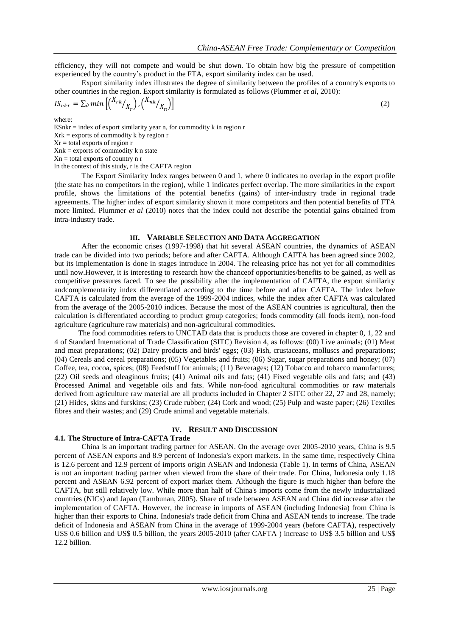efficiency, they will not compete and would be shut down. To obtain how big the pressure of competition experienced by the country's product in the FTA, export similarity index can be used.

Export similarity index illustrates the degree of similarity between the profiles of a country's exports to other countries in the region. Export similarity is formulated as follows (Plummer *et al*, 2010):

$$
IS_{nkr} = \sum_{\partial} min\left[ \binom{X_{rk}}{X_r}, \binom{X_{nk}}{X_n} \right] \tag{2}
$$

where:

 $ESnkr = index of export similarity year n, for commodity k in region r$ Xrk = exports of commodity k by region r  $Xr =$  total exports of region  $r =$  $Xnk =$  exports of commodity k n state

 $Xn =$  total exports of country n r

In the context of this study, r is the CAFTA region

The Export Similarity Index ranges between 0 and 1, where 0 indicates no overlap in the export profile (the state has no competitors in the region), while 1 indicates perfect overlap. The more similarities in the export profile, shows the limitations of the potential benefits (gains) of inter-industry trade in regional trade agreements. The higher index of export similarity shown it more competitors and then potential benefits of FTA more limited. Plummer *et al* (2010) notes that the index could not describe the potential gains obtained from intra-industry trade.

#### **III. VARIABLE SELECTION AND DATA AGGREGATION**

After the economic crises (1997-1998) that hit several ASEAN countries, the dynamics of ASEAN trade can be divided into two periods; before and after CAFTA. Although CAFTA has been agreed since 2002, but its implementation is done in stages introduce in 2004. The releasing price has not yet for all commodities until now.However, it is interesting to research how the chanceof opportunities/benefits to be gained, as well as competitive pressures faced. To see the possibility after the implementation of CAFTA, the export similarity andcomplementarity index differentiated according to the time before and after CAFTA. The index before CAFTA is calculated from the average of the 1999-2004 indices, while the index after CAFTA was calculated from the average of the 2005-2010 indices. Because the most of the ASEAN countries is agricultural, then the calculation is differentiated according to product group categories; foods commodity (all foods item), non-food agriculture (agriculture raw materials) and non-agricultural commodities.

The food commodities refers to UNCTAD data that is products those are covered in chapter 0, 1, 22 and 4 of Standard International of Trade Classification (SITC) Revision 4, as follows: (00) Live animals; (01) Meat and meat preparations; (02) Dairy products and birds' eggs; (03) Fish, crustaceans, molluscs and preparations; (04) Cereals and cereal preparations; (05) Vegetables and fruits; (06) Sugar, sugar preparations and honey; (07) Coffee, tea, cocoa, spices; (08) Feedstuff for animals; (11) Beverages; (12) Tobacco and tobacco manufactures; (22) Oil seeds and oleaginous fruits; (41) Animal oils and fats; (41) Fixed vegetable oils and fats; and (43) Processed Animal and vegetable oils and fats. While non-food agricultural commodities or raw materials derived from agriculture raw material are all products included in Chapter 2 SITC other 22, 27 and 28, namely; (21) Hides, skins and furskins; (23) Crude rubber; (24) Cork and wood; (25) Pulp and waste paper; (26) Textiles fibres and their wastes; and (29) Crude animal and vegetable materials.

## **IV. RESULT AND DISCUSSION**

## **4.1. The Structure of Intra-CAFTA Trade**

China is an important trading partner for ASEAN. On the average over 2005-2010 years, China is 9.5 percent of ASEAN exports and 8.9 percent of Indonesia's export markets. In the same time, respectively China is 12.6 percent and 12.9 percent of imports origin ASEAN and Indonesia (Table 1). In terms of China, ASEAN is not an important trading partner when viewed from the share of their trade. For China, Indonesia only 1.18 percent and ASEAN 6.92 percent of export market them. Although the figure is much higher than before the CAFTA, but still relatively low. While more than half of China's imports come from the newly industrialized countries (NICs) and Japan (Tambunan, 2005). Share of trade between ASEAN and China did increase after the implementation of CAFTA. However, the increase in imports of ASEAN (including Indonesia) from China is higher than their exports to China. Indonesia's trade deficit from China and ASEAN tends to increase. The trade deficit of Indonesia and ASEAN from China in the average of 1999-2004 years (before CAFTA), respectively US\$ 0.6 billion and US\$ 0.5 billion, the years 2005-2010 (after CAFTA ) increase to US\$ 3.5 billion and US\$ 12.2 billion.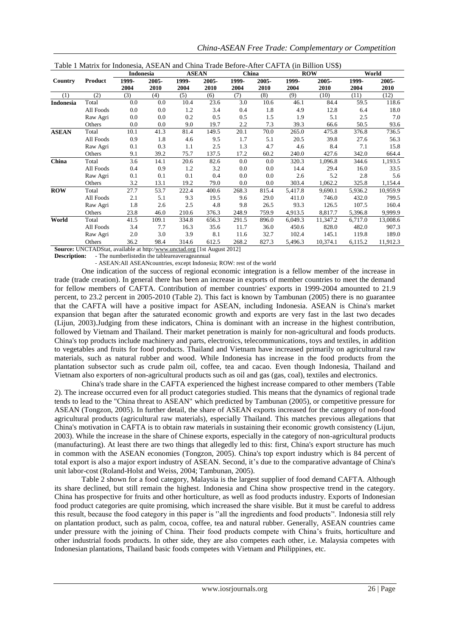|              |           | Indonesia |       | <b>ASEAN</b> |       | China |       | <b>ROW</b> |          | World   |          |
|--------------|-----------|-----------|-------|--------------|-------|-------|-------|------------|----------|---------|----------|
| Country      | Product   | 1999-     | 2005- | 1999-        | 2005- | 1999- | 2005- | 1999-      | 2005-    | 1999-   | 2005-    |
|              |           | 2004      | 2010  | 2004         | 2010  | 2004  | 2010  | 2004       | 2010     | 2004    | 2010     |
| (1)          | (2)       | (3)       | (4)   | (5)          | (6)   | (7)   | (8)   | (9)        | (10)     | (11)    | (12)     |
| Indonesia    | Total     | 0.0       | 0.0   | 10.4         | 23.6  | 3.0   | 10.6  | 46.1       | 84.4     | 59.5    | 118.6    |
|              | All Foods | 0.0       | 0.0   | 1.2          | 3.4   | 0.4   | 1.8   | 4.9        | 12.8     | 6.4     | 18.0     |
|              | Raw Agri  | 0.0       | 0.0   | 0.2          | 0.5   | 0.5   | 1.5   | 1.9        | 5.1      | 2.5     | 7.0      |
|              | Others    | 0.0       | 0.0   | 9.0          | 19.7  | 2.2   | 7.3   | 39.3       | 66.6     | 50.5    | 93.6     |
| <b>ASEAN</b> | Total     | 10.1      | 41.3  | 81.4         | 149.5 | 20.1  | 70.0  | 265.0      | 475.8    | 376.8   | 736.5    |
|              | All Foods | 0.9       | 1.8   | 4.6          | 9.5   | 1.7   | 5.1   | 20.5       | 39.8     | 27.6    | 56.3     |
|              | Raw Agri  | 0.1       | 0.3   | 1.1          | 2.5   | 1.3   | 4.7   | 4.6        | 8.4      | 7.1     | 15.8     |
|              | Others    | 9.1       | 39.2  | 75.7         | 137.5 | 17.2  | 60.2  | 240.0      | 427.6    | 342.0   | 664.4    |
| China        | Total     | 3.6       | 14.1  | 20.6         | 82.6  | 0.0   | 0.0   | 320.3      | 1,096.8  | 344.6   | 1,193.5  |
|              | All Foods | 0.4       | 0.9   | 1.2          | 3.2   | 0.0   | 0.0   | 14.4       | 29.4     | 16.0    | 33.5     |
|              | Raw Agri  | 0.1       | 0.1   | 0.1          | 0.4   | 0.0   | 0.0   | 2.6        | 5.2      | 2.8     | 5.6      |
|              | Others    | 3.2       | 13.1  | 19.2         | 79.0  | 0.0   | 0.0   | 303.4      | 1,062.2  | 325.8   | 1,154.4  |
| <b>ROW</b>   | Total     | 27.7      | 53.7  | 222.4        | 400.6 | 268.3 | 815.4 | 5,417.8    | 9,690.1  | 5,936.2 | 10,959.9 |
|              | All Foods | 2.1       | 5.1   | 9.3          | 19.5  | 9.6   | 29.0  | 411.0      | 746.0    | 432.0   | 799.5    |
|              | Raw Agri  | 1.8       | 2.6   | 2.5          | 4.8   | 9.8   | 26.5  | 93.3       | 126.5    | 107.5   | 160.4    |
|              | Others    | 23.8      | 46.0  | 210.6        | 376.3 | 248.9 | 759.9 | 4,913.5    | 8,817.7  | 5,396.8 | 9,999.9  |
| World        | Total     | 41.5      | 109.1 | 334.8        | 656.3 | 291.5 | 896.0 | 6,049.3    | 11,347.2 | 6,717.0 | 13,008.6 |
|              | All Foods | 3.4       | 7.7   | 16.3         | 35.6  | 11.7  | 36.0  | 450.6      | 828.0    | 482.0   | 907.3    |
|              | Raw Agri  | 2.0       | 3.0   | 3.9          | 8.1   | 11.6  | 32.7  | 102.4      | 145.1    | 119.8   | 189.0    |
|              | Others    | 36.2      | 98.4  | 314.6        | 612.5 | 268.2 | 827.3 | 5,496.3    | 10,374.1 | 6,115.2 | 11,912.3 |

| Table 1 Matrix for Indonesia, ASEAN and China Trade Before-After CAFTA (in Billion US\$) |
|------------------------------------------------------------------------------------------|
|------------------------------------------------------------------------------------------|

**Source:** UNCTADStat, available at http[:/www.unctad.org](http://www.unctad.org/) [1st August 2012] **Description:** - The numberlistedin the tableareaverageannual

- ASEAN:All ASEANcountries, except Indonesia; ROW: rest of the world

One indication of the success of regional economic integration is a fellow member of the increase in trade (trade creation). In general there has been an increase in exports of member countries to meet the demand for fellow members of CAFTA. Contribution of member countries' exports in 1999-2004 amounted to 21.9 percent, to 23.2 percent in 2005-2010 (Table 2). This fact is known by Tambunan (2005) there is no guarantee that the CAFTA will have a positive impact for ASEAN, including Indonesia. ASEAN is China's market expansion that began after the saturated economic growth and exports are very fast in the last two decades (Lijun, 2003).Judging from these indicators, China is dominant with an increase in the highest contribution, followed by Vietnam and Thailand. Their market penetration is mainly for non-agricultural and foods products. China's top products include machinery and parts, electronics, telecommunications, toys and textiles, in addition to vegetables and fruits for food products. Thailand and Vietnam have increased primarily on agricultural raw materials, such as natural rubber and wood. While Indonesia has increase in the food products from the plantation subsector such as crude palm oil, coffee, tea and cacao. Even though Indonesia, Thailand and Vietnam also exporters of non-agricultural products such as oil and gas (gas, coal), textiles and electronics.

China's trade share in the CAFTA experienced the highest increase compared to other members (Table 2). The increase occurred even for all product categories studied. This means that the dynamics of regional trade tends to lead to the "China threat to ASEAN" which predicted by Tambunan (2005), or competitive pressure for ASEAN (Tongzon, 2005). In further detail, the share of ASEAN exports increased for the category of non-food agricultural products (agricultural raw materials), especially Thailand. This matches previous allegations that China's motivation in CAFTA is to obtain raw materials in sustaining their economic growth consistency (Lijun, 2003). While the increase in the share of Chinese exports, especially in the category of non-agricultural products (manufacturing). At least there are two things that allegedly led to this: first, China's export structure has much in common with the ASEAN economies (Tongzon, 2005). China's top export industry which is 84 percent of total export is also a major export industry of ASEAN. Second, it's due to the comparative advantage of China's unit labor-cost (Roland-Holst and Weiss, 2004; Tambunan, 2005).

Table 2 shown for a food category, Malaysia is the largest supplier of food demand CAFTA. Although its share declined, but still remain the highest. Indonesia and China show prospective trend in the category. China has prospective for fruits and other horticulture, as well as food products industry. Exports of Indonesian food product categories are quite promising, which increased the share visible. But it must be careful to address this result, because the food category in this paper is ''all the ingredients and food products''. Indonesia still rely on plantation product, such as palm, cocoa, coffee, tea and natural rubber. Generally, ASEAN countries came under pressure with the joining of China. Their food products compete with China's fruits, horticulture and other industrial foods products. In other side, they are also competes each other, i.e. Malaysia competes with Indonesian plantations, Thailand basic foods competes with Vietnam and Philippines, etc.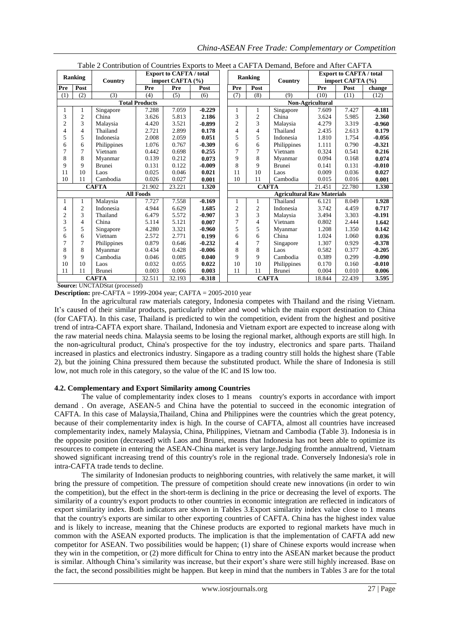| Table 2 Contribution of Countries Exports to Meet a CAPTA Demand, Before and After CAPTA |                          |               |                  |                                                    |                  |                         |                |                                   |                                                    |        |          |  |
|------------------------------------------------------------------------------------------|--------------------------|---------------|------------------|----------------------------------------------------|------------------|-------------------------|----------------|-----------------------------------|----------------------------------------------------|--------|----------|--|
|                                                                                          | <b>Ranking</b>           | Country       |                  | <b>Export to CAFTA / total</b><br>import CAFTA (%) |                  | Ranking                 |                | Country                           | <b>Export to CAFTA / total</b><br>import CAFTA (%) |        |          |  |
| Pre                                                                                      | Post                     |               | Pre              | Pre                                                | Post             | Pre                     | Post           |                                   | Pre                                                | Post   | change   |  |
| (1)                                                                                      | (2)                      | (3)           | (4)              | (5)                                                | (6)              | (7)                     | (8)            | (9)                               | (10)                                               | (11)   | (12)     |  |
| <b>Total Products</b>                                                                    |                          |               |                  |                                                    | Non-Agricultural |                         |                |                                   |                                                    |        |          |  |
|                                                                                          | 1                        | Singapore     | 7.288            | 7.059                                              | $-0.229$         |                         | 1              | Singapore                         | 7.609                                              | 7.427  | $-0.181$ |  |
| 3                                                                                        | $\overline{2}$           | China         | 3.626            | 5.813                                              | 2.186            | 3                       | 2              | China                             | 3.624                                              | 5.985  | 2.360    |  |
| $\overline{c}$                                                                           | 3                        | Malaysia      | 4.420            | 3.521                                              | $-0.899$         | $\overline{2}$          | 3              | Malaysia                          | 4.279                                              | 3.319  | $-0.960$ |  |
| 4                                                                                        | $\overline{4}$           | Thailand      | 2.721            | 2.899                                              | 0.178            | $\overline{\mathbf{4}}$ | 4              | Thailand                          | 2.435                                              | 2.613  | 0.179    |  |
| 5                                                                                        | 5                        | Indonesia     | 2.008            | 2.059                                              | 0.051            | 5                       | 5              | Indonesia                         | 1.810                                              | 1.754  | $-0.056$ |  |
| 6                                                                                        | 6                        | Philippines   | 1.076            | 0.767                                              | $-0.309$         | 6                       | 6              | Philippines                       | 1.111                                              | 0.790  | $-0.321$ |  |
|                                                                                          | $\overline{7}$           | Vietnam       | 0.442            | 0.698                                              | 0.255            | 7                       | 7              | Vietnam                           | 0.324                                              | 0.541  | 0.216    |  |
| 8                                                                                        | 8                        | Myanmar       | 0.139            | 0.212                                              | 0.073            | 9                       | 8              | Myanmar                           | 0.094                                              | 0.168  | 0.074    |  |
| 9                                                                                        | $\mathbf Q$              | <b>Brunei</b> | 0.131            | 0.122                                              | $-0.009$         | 8                       | 9              | <b>Brunei</b>                     | 0.141                                              | 0.131  | $-0.010$ |  |
| 11                                                                                       | 10                       | Laos          | 0.025            | 0.046                                              | 0.021            | 11                      | 10             | Laos                              | 0.009                                              | 0.036  | 0.027    |  |
| 10                                                                                       | 11                       | Cambodia      | 0.026            | 0.027                                              | 0.001            | 10                      | 11             | Cambodia                          | 0.015                                              | 0.016  | 0.001    |  |
| <b>CAFTA</b>                                                                             |                          |               | 21.902           | 23.221                                             | 1.320            |                         | <b>CAFTA</b>   |                                   | 21.451                                             | 22.780 | 1.330    |  |
|                                                                                          |                          |               | <b>All Foods</b> |                                                    |                  |                         |                | <b>Agricultural Raw Materials</b> |                                                    |        |          |  |
|                                                                                          |                          | Malaysia      | 7.727            | 7.558                                              | $-0.169$         |                         | 1              | Thailand                          | 6.121                                              | 8.049  | 1.928    |  |
| 4                                                                                        | $\overline{c}$           | Indonesia     | 4.944            | 6.629                                              | 1.685            | $\overline{2}$          | $\overline{c}$ | Indonesia                         | 3.742                                              | 4.459  | 0.717    |  |
| $\overline{c}$                                                                           | 3                        | Thailand      | 6.479            | 5.572                                              | $-0.907$         | 3                       | 3              | Malaysia                          | 3.494                                              | 3.303  | $-0.191$ |  |
| $\mathbf{3}$                                                                             | $\overline{\mathcal{L}}$ | China         | 5.114            | 5.121                                              | 0.007            | 7                       | $\overline{4}$ | Vietnam                           | 0.802                                              | 2.444  | 1.642    |  |
| 5                                                                                        | 5                        | Singapore     | 4.280            | 3.321                                              | $-0.960$         | 5                       | 5              | Myanmar                           | 1.208                                              | 1.350  | 0.142    |  |
| 6                                                                                        | 6                        | Vietnam       | 2.572            | 2.771                                              | 0.199            | 6                       | 6              | China                             | 1.024                                              | 1.060  | 0.036    |  |
|                                                                                          | 7                        | Philippines   | 0.879            | 0.646                                              | $-0.232$         | 4                       | 7              | Singapore                         | 1.307                                              | 0.929  | $-0.378$ |  |
| 8                                                                                        | 8                        | Myanmar       | 0.434            | 0.428                                              | $-0.006$         | 8                       | 8              | Laos                              | 0.582                                              | 0.377  | $-0.205$ |  |
| 9                                                                                        | $\mathbf Q$              | Cambodia      | 0.046            | 0.085                                              | 0.040            | 9                       | 9              | Cambodia                          | 0.389                                              | 0.299  | $-0.090$ |  |
| 10                                                                                       | 10                       | Laos          | 0.032            | 0.055                                              | 0.022            | 10                      | 10             | Philippines                       | 0.170                                              | 0.160  | $-0.010$ |  |
| 11                                                                                       | 11                       | <b>Brunei</b> | 0.003            | 0.006                                              | 0.003            | 11                      | 11             | <b>Brunei</b>                     | 0.004                                              | 0.010  | 0.006    |  |
|                                                                                          |                          | <b>CAFTA</b>  | 32.511           | 32.193                                             | $-0.318$         | <b>CAFTA</b>            |                |                                   | 18.844                                             | 22.439 | 3.595    |  |

Table 2 Contribution of Countries Exports to Meet a CAFTA Demand, Before and After CAFTA

**Source:** UNCTADStat (processed)

**Description:** pre-CAFTA = 1999-2004 year; CAFTA = 2005-2010 year

In the agricultural raw materials category, Indonesia competes with Thailand and the rising Vietnam. It's caused of their similar products, particularly rubber and wood which the main export destination to China (for CAFTA). In this case, Thailand is predicted to win the competition, evident from the highest and positive trend of intra-CAFTA export share. Thailand, Indonesia and Vietnam export are expected to increase along with the raw material needs china. Malaysia seems to be losing the regional market, although exports are still high. In the non-agricultural product, China's prospective for the toy industry, electronics and spare parts. Thailand increased in plastics and electronics industry. Singapore as a trading country still holds the highest share (Table 2), but the joining China pressured them because the substituted product. While the share of Indonesia is still low, not much role in this category, so the value of the IC and IS low too.

## **4.2. Complementary and Export Similarity among Countries**

The value of complementarity index closes to 1 means country's exports in accordance with import demand . On average, ASEAN-5 and China have the potential to succeed in the economic integration of CAFTA. In this case of Malaysia,Thailand, China and Philippines were the countries which the great potency, because of their complementarity index is high. In the course of CAFTA, almost all countries have increased complementarity index, namely Malaysia, China, Philippines, Vietnam and Cambodia (Table 3). Indonesia is in the opposite position (decreased) with Laos and Brunei, means that Indonesia has not been able to optimize its resources to compete in entering the ASEAN-China market is very large.Judging fromthe annualtrend, Vietnam showed significant increasing trend of this country's role in the regional trade. Conversely Indonesia's role in intra-CAFTA trade tends to decline.

The similarity of Indonesian products to neighboring countries, with relatively the same market, it will bring the pressure of competition. The pressure of competition should create new innovations (in order to win the competition), but the effect in the short-term is declining in the price or decreasing the level of exports. The similarity of a country's export products to other countries in economic integration are reflected in indicators of export similarity index. Both indicators are shown in Tables 3.Export similarity index value close to 1 means that the country's exports are similar to other exporting countries of CAFTA. China has the highest index value and is likely to increase, meaning that the Chinese products are exported to regional markets have much in common with the ASEAN exported products. The implication is that the implementation of CAFTA add new competitor for ASEAN. Two possibilities would be happen; (1) share of Chinese exports would increase when they win in the competition, or (2) more difficult for China to entry into the ASEAN market because the product is similar. Although China's similarity was increase, but their export's share were still highly increased. Base on the fact, the second possibilities might be happen. But keep in mind that the numbers in Tables 3 are for the total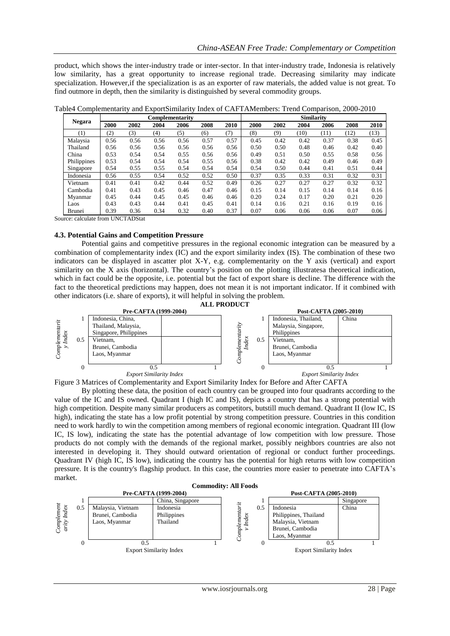product, which shows the inter-industry trade or inter-sector. In that inter-industry trade, Indonesia is relatively low similarity, has a great opportunity to increase regional trade. Decreasing similarity may indicate specialization. However,if the specialization is as an exporter of raw materials, the added value is not great. To find outmore in depth, then the similarity is distinguished by several commodity groups.

| <b>Negara</b> |      |      |      | <b>Complementarity</b> |      |      |      |      | <b>Similarity</b> |      |      |      |
|---------------|------|------|------|------------------------|------|------|------|------|-------------------|------|------|------|
|               | 2000 | 2002 | 2004 | 2006                   | 2008 | 2010 | 2000 | 2002 | 2004              | 2006 | 2008 | 2010 |
| (1)           | (2)  | (3)  | (4)  | (5)                    | (6)  | (7)  | (8)  | (9)  | (10)              | (11) | (12) | (13) |
| Malaysia      | 0.56 | 0.56 | 0.56 | 0.56                   | 0.57 | 0.57 | 0.45 | 0.42 | 0.42              | 0.37 | 0.38 | 0.45 |
| Thailand      | 0.56 | 0.56 | 0.56 | 0.56                   | 0.56 | 0.56 | 0.50 | 0.50 | 0.48              | 0.46 | 0.42 | 0.40 |
| China         | 0.53 | 0.54 | 0.54 | 0.55                   | 0.56 | 0.56 | 0.49 | 0.51 | 0.50              | 0.55 | 0.58 | 0.56 |
| Philippines   | 0.53 | 0.54 | 0.54 | 0.54                   | 0.55 | 0.56 | 0.38 | 0.42 | 0.42              | 0.49 | 0.46 | 0.49 |
| Singapore     | 0.54 | 0.55 | 0.55 | 0.54                   | 0.54 | 0.54 | 0.54 | 0.50 | 0.44              | 0.41 | 0.51 | 0.44 |
| Indonesia     | 0.56 | 0.55 | 0.54 | 0.52                   | 0.52 | 0.50 | 0.37 | 0.35 | 0.33              | 0.31 | 0.32 | 0.31 |
| Vietnam       | 0.41 | 0.41 | 0.42 | 0.44                   | 0.52 | 0.49 | 0.26 | 0.27 | 0.27              | 0.27 | 0.32 | 0.32 |
| Cambodia      | 0.41 | 0.43 | 0.45 | 0.46                   | 0.47 | 0.46 | 0.15 | 0.14 | 0.15              | 0.14 | 0.14 | 0.16 |
| Myanmar       | 0.45 | 0.44 | 0.45 | 0.45                   | 0.46 | 0.46 | 0.20 | 0.24 | 0.17              | 0.20 | 0.21 | 0.20 |
| Laos          | 0.43 | 0.43 | 0.44 | 0.41                   | 0.45 | 0.41 | 0.14 | 0.16 | 0.21              | 0.16 | 0.19 | 0.16 |
| Brunei        | 0.39 | 0.36 | 0.34 | 0.32                   | 0.40 | 0.37 | 0.07 | 0.06 | 0.06              | 0.06 | 0.07 | 0.06 |

Table4 Complementarity and ExportSimilarity Index of CAFTAMembers: Trend Comparison, 2000-2010

Source: calculate from UNCTADStat

# **4.3. Potential Gains and Competition Pressure**

Potential gains and competitive pressures in the regional economic integration can be measured by a combination of complementarity index (IC) and the export similarity index (IS). The combination of these two indicators can be displayed in ascatter plot X-Y, e.g. complementarity on the Y axis (vertical) and export similarity on the X axis (horizontal). The country's position on the plotting illustratesa theoretical indication, which in fact could be the opposite, i.e. potential but the fact of export share is decline. The difference with the fact to the theoretical predictions may happen, does not mean it is not important indicator. If it combined with other indicators (i.e. share of exports), it will helpful in solving the problem.





By plotting these data, the position of each country can be grouped into four quadrants according to the value of the IC and IS owned. Quadrant I (high IC and IS), depicts a country that has a strong potential with high competition. Despite many similar producers as competitors, butstill much demand. Quadrant II (low IC, IS high), indicating the state has a low profit potential by strong competition pressure. Countries in this condition need to work hardly to win the competition among members of regional economic integration. Quadrant III (low IC, IS low), indicating the state has the potential advantage of low competition with low pressure. Those products do not comply with the demands of the regional market, possibly neighbors countries are also not interested in developing it. They should outward orientation of regional or conduct further proceedings. Quadrant IV (high IC, IS low), indicating the country has the potential for high returns with low competition pressure. It is the country's flagship product. In this case, the countries more easier to penetrate into CAFTA's market.

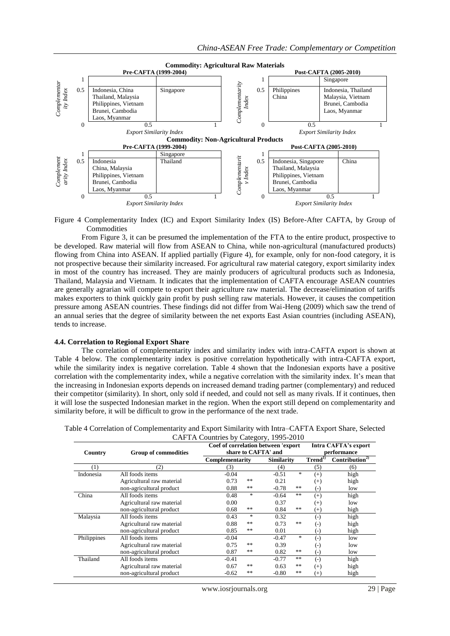

Figure 4 Complementarity Index (IC) and Export Similarity Index (IS) Before-After CAFTA, by Group of Commodities

From Figure 3, it can be presumed the implementation of the FTA to the entire product, prospective to be developed. Raw material will flow from ASEAN to China, while non-agricultural (manufactured products) flowing from China into ASEAN. If applied partially (Figure 4), for example, only for non-food category, it is not prospective because their similarity increased. For agricultural raw material category, export similarity index in most of the country has increased. They are mainly producers of agricultural products such as Indonesia, Thailand, Malaysia and Vietnam. It indicates that the implementation of CAFTA encourage ASEAN countries are generally agrarian will compete to export their agriculture raw material. The decrease/elimination of tariffs makes exporters to think quickly gain profit by push selling raw materials. However, it causes the competition pressure among ASEAN countries. These findings did not differ from Wai-Heng (2009) which saw the trend of an annual series that the degree of similarity between the net exports East Asian countries (including ASEAN), tends to increase.

## **4.4. Correlation to Regional Export Share**

The correlation of complementarity index and similarity index with intra-CAFTA export is shown at Table 4 below. The complementarity index is positive correlation hypothetically with intra-CAFTA export, while the similarity index is negative correlation. Table 4 shown that the Indonesian exports have a positive correlation with the complementarity index, while a negative correlation with the similarity index. It's mean that the increasing in Indonesian exports depends on increased demand trading partner (complementary) and reduced their competitor (similarity). In short, only sold if needed, and could not sell as many rivals. If it continues, then it will lose the suspected Indonesian market in the region. When the export still depend on complementarity and similarity before, it will be difficult to grow in the performance of the next trade.

| Country     | <b>Group of commodities</b> | Coef of correlation between 'export | share to CAFTA' and | <b>Intra CAFTA's export</b><br>performance |             |                    |                            |
|-------------|-----------------------------|-------------------------------------|---------------------|--------------------------------------------|-------------|--------------------|----------------------------|
|             |                             | Complementarity                     |                     | <b>Similarity</b>                          |             | Trend <sup>1</sup> | Contribution <sup>2)</sup> |
| (1)         | (2)                         | (3)                                 |                     | (4)                                        |             | (5)                | (6)                        |
| Indonesia   | All foods items             | $-0.04$                             |                     | $-0.51$                                    | $\ast$      | $(+)$              | high                       |
|             | Agricultural raw material   | 0.73                                | **                  | 0.21                                       |             | $^{(+)}$           | high                       |
|             | non-agricultural product    | 0.88                                | **                  | $-0.78$                                    | $\pm\, \pm$ | $\left( -\right)$  | low                        |
| China       | All foods items             | 0.48                                | $\ast$              | $-0.64$                                    | $\pm\, \pm$ | $^{(+)}$           | high                       |
|             | Agricultural raw material   | 0.00                                |                     | 0.37                                       |             | $^{(+)}$           | low                        |
|             | non-agricultural product    | 0.68                                | **                  | 0.84                                       | $\pm\, \pm$ | $^{(+)}$           | high                       |
| Malaysia    | All foods items             | 0.43                                | $*$                 | 0.32                                       |             | $(-)$              | high                       |
|             | Agricultural raw material   | 0.88                                | **                  | 0.73                                       | **          | $\left( -\right)$  | high                       |
|             | non-agricultural product    | 0.85                                | **                  | 0.01                                       |             | (-)                | high                       |
| Philippines | All foods items             | $-0.04$                             |                     | $-0.47$                                    | $\ast$      | $\left( -\right)$  | low                        |
|             | Agricultural raw material   | 0.75                                | **                  | 0.39                                       |             | $(\textnormal{-})$ | low                        |
|             | non-agricultural product    | 0.87                                | **                  | 0.82                                       | $\pm\, \pm$ | $_{(\text{-})}$    | low                        |
| Thailand    | All foods items             | $-0.41$                             |                     | $-0.77$                                    | $\pm\, \pm$ | $(-)$              | high                       |
|             | Agricultural raw material   | 0.67                                | **                  | 0.63                                       | $\pm\, \pm$ | $^{(+)}$           | high                       |
|             | non-agricultural product    | $-0.62$                             | **                  | $-0.80$                                    | **          | $(+)$              | high                       |

Table 4 Correlation of Complementarity and Export Similarity with Intra–CAFTA Export Share, Selected CAFTA Countries by Category, 1995-2010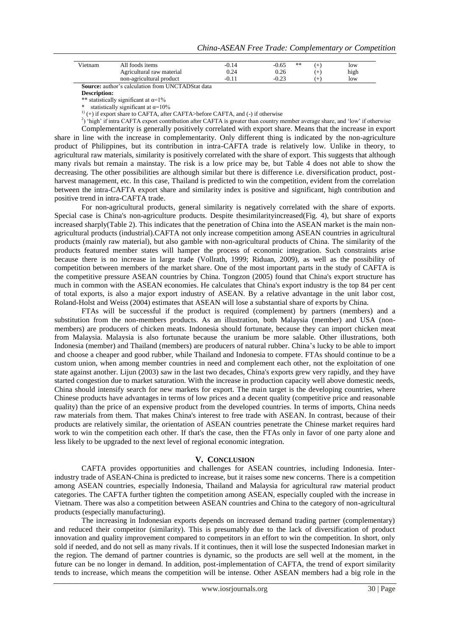| Vietnam | All foods items           | -0.14 | **   | low  |
|---------|---------------------------|-------|------|------|
|         | Agricultural raw material | ).24  | 0.26 | high |
|         | non-agricultural product  |       |      | low  |
| $\sim$  | ______<br>$\sim$          |       |      |      |

**Source:** author's calculation from UNCTADStat data

**Description:**

\*\* statistically significant at  $\alpha=1\%$ \* statistically significant at  $\alpha$ =10%

 $(1)$  (+) if export share to CAFTA, after CAFTA>before CAFTA, and (-) if otherwise

2 ) 'high' if intra CAFTA export contribution after CAFTA is greater than country member average share, and 'low' if otherwise

Complementarity is generally positively correlated with export share. Means that the increase in export share in line with the increase in complementarity. Only different thing is indicated by the non-agriculture product of Philippines, but its contribution in intra-CAFTA trade is relatively low. Unlike in theory, to agricultural raw materials, similarity is positively correlated with the share of export. This suggests that although many rivals but remain a mainstay. The risk is a low price may be, but Table 4 does not able to show the decreasing. The other possibilities are although similar but there is difference i.e. diversification product, postharvest management, etc. In this case, Thailand is predicted to win the competition, evident from the correlation between the intra-CAFTA export share and similarity index is positive and significant, high contribution and positive trend in intra-CAFTA trade.

For non-agricultural products, general similarity is negatively correlated with the share of exports. Special case is China's non-agriculture products. Despite thesimilarityincreased(Fig. 4), but share of exports increased sharply(Table 2). This indicates that the penetration of China into the ASEAN market is the main nonagricultural products (industrial).CAFTA not only increase competition among ASEAN countries in agricultural products (mainly raw material), but also gamble with non-agricultural products of China. The similarity of the products featured member states will hamper the process of economic integration. Such constraints arise because there is no increase in large trade (Vollrath, 1999; Riduan, 2009), as well as the possibility of competition between members of the market share. One of the most important parts in the study of CAFTA is the competitive pressure ASEAN countries by China. Tongzon (2005) found that China's export structure has much in common with the ASEAN economies. He calculates that China's export industry is the top 84 per cent of total exports, is also a major export industry of ASEAN. By a relative advantage in the unit labor cost, Roland-Holst and Weiss (2004) estimates that ASEAN will lose a substantial share of exports by China.

FTAs will be successful if the product is required (complement) by partners (members) and a substitution from the non-members products. As an illustration, both Malaysia (member) and USA (nonmembers) are producers of chicken meats. Indonesia should fortunate, because they can import chicken meat from Malaysia. Malaysia is also fortunate because the uranium be more salable. Other illustrations, both Indonesia (member) and Thailand (members) are producers of natural rubber. China's lucky to be able to import and choose a cheaper and good rubber, while Thailand and Indonesia to compete. FTAs should continue to be a custom union, when among member countries in need and complement each other, not the exploitation of one state against another. Lijun (2003) saw in the last two decades, China's exports grew very rapidly, and they have started congestion due to market saturation. With the increase in production capacity well above domestic needs, China should intensify search for new markets for export. The main target is the developing countries, where Chinese products have advantages in terms of low prices and a decent quality (competitive price and reasonable quality) than the price of an expensive product from the developed countries. In terms of imports, China needs raw materials from them. That makes China's interest to free trade with ASEAN. In contrast, because of their products are relatively similar, the orientation of ASEAN countries penetrate the Chinese market requires hard work to win the competition each other. If that's the case, then the FTAs only in favor of one party alone and less likely to be upgraded to the next level of regional economic integration.

#### **V. CONCLUSION**

CAFTA provides opportunities and challenges for ASEAN countries, including Indonesia. Interindustry trade of ASEAN-China is predicted to increase, but it raises some new concerns. There is a competition among ASEAN countries, especially Indonesia, Thailand and Malaysia for agricultural raw material product categories. The CAFTA further tighten the competition among ASEAN, especially coupled with the increase in Vietnam. There was also a competition between ASEAN countries and China to the category of non-agricultural products (especially manufacturing).

The increasing in Indonesian exports depends on increased demand trading partner (complementary) and reduced their competitor (similarity). This is presumably due to the lack of diversification of product innovation and quality improvement compared to competitors in an effort to win the competition. In short, only sold if needed, and do not sell as many rivals. If it continues, then it will lose the suspected Indonesian market in the region. The demand of partner countries is dynamic, so the products are sell well at the moment, in the future can be no longer in demand. In addition, post-implementation of CAFTA, the trend of export similarity tends to increase, which means the competition will be intense. Other ASEAN members had a big role in the